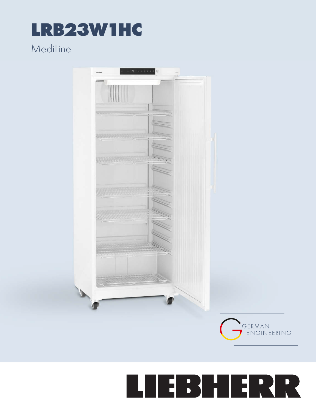## LRB23W1HC

## Mediline



## LIEBHERR